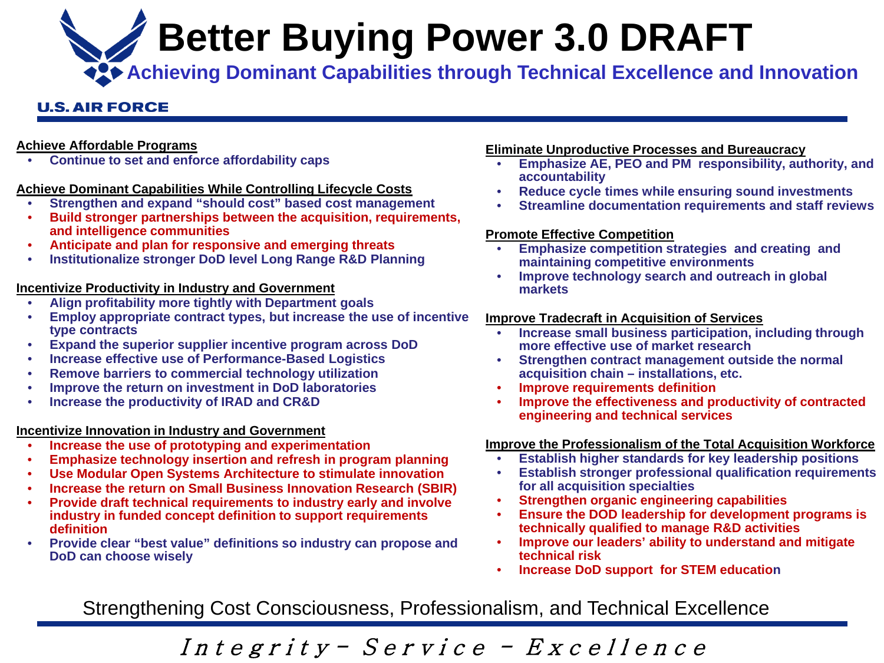**Better Buying Power 3.0 DRAFT**

**ACO** Achieving Dominant Capabilities through Technical Excellence and Innovation

### **U.S. AIR FORCE**

#### **Achieve Affordable Programs**

• **Continue to set and enforce affordability caps**

### **Achieve Dominant Capabilities While Controlling Lifecycle Costs**

- **Strengthen and expand "should cost" based cost management**
- **Build stronger partnerships between the acquisition, requirements, and intelligence communities**
- **Anticipate and plan for responsive and emerging threats**
- **Institutionalize stronger DoD level Long Range R&D Planning**

### **Incentivize Productivity in Industry and Government**

- **Align profitability more tightly with Department goals**
- **Employ appropriate contract types, but increase the use of incentive type contracts**
- **Expand the superior supplier incentive program across DoD**
- **Increase effective use of Performance-Based Logistics**
- **Remove barriers to commercial technology utilization**
- **Improve the return on investment in DoD laboratories**
- **Increase the productivity of IRAD and CR&D**

#### **Incentivize Innovation in Industry and Government**

- **Increase the use of prototyping and experimentation**
- **Emphasize technology insertion and refresh in program planning**
- **Use Modular Open Systems Architecture to stimulate innovation**
- **Increase the return on Small Business Innovation Research (SBIR)**
- **Provide draft technical requirements to industry early and involve industry in funded concept definition to support requirements definition**
- **Provide clear "best value" definitions so industry can propose and DoD can choose wisely**

#### **Eliminate Unproductive Processes and Bureaucracy**

- **Emphasize AE, PEO and PM responsibility, authority, and accountability**
- **Reduce cycle times while ensuring sound investments**
- **Streamline documentation requirements and staff reviews**

#### **Promote Effective Competition**

- **Emphasize competition strategies and creating and maintaining competitive environments**
- **Improve technology search and outreach in global markets**

### **Improve Tradecraft in Acquisition of Services**

- **Increase small business participation, including through more effective use of market research**
- **Strengthen contract management outside the normal acquisition chain – installations, etc.**
- **Improve requirements definition**
- **Improve the effectiveness and productivity of contracted engineering and technical services**

### **Improve the Professionalism of the Total Acquisition Workforce**

- **Establish higher standards for key leadership positions**
- **Establish stronger professional qualification requirements for all acquisition specialties**
- **Strengthen organic engineering capabilities**
- **Ensure the DOD leadership for development programs is technically qualified to manage R&D activities**
- **Improve our leaders' ability to understand and mitigate technical risk**
- **Increase DoD support for STEM education**

Strengthening Cost Consciousness, Professionalism, and Technical Excellence

Integrity - Service - Excellence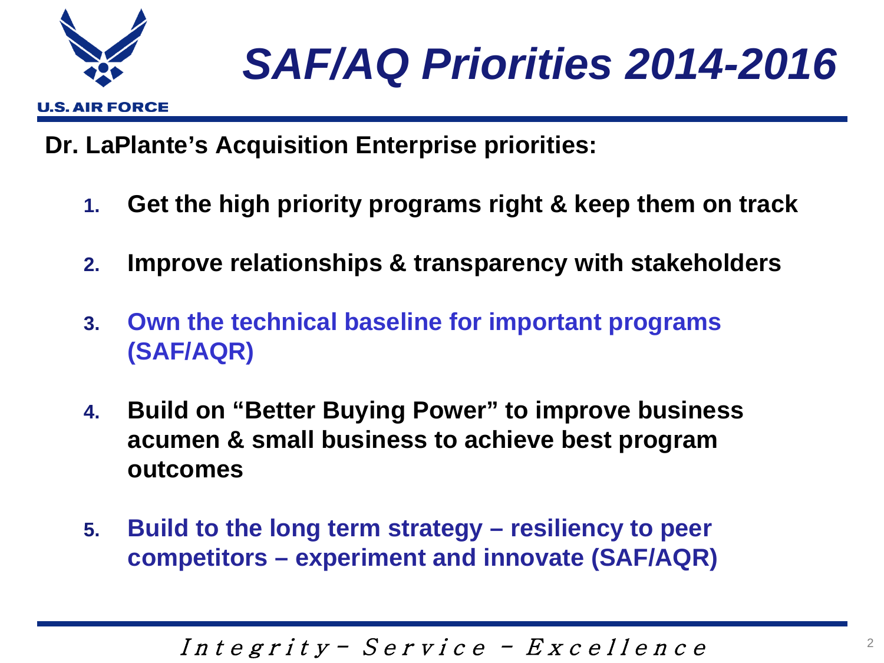

### *SAF/AQ Priorities 2014-2016*

**Dr. LaPlante's Acquisition Enterprise priorities:**

- **1. Get the high priority programs right & keep them on track**
- **2. Improve relationships & transparency with stakeholders**
- **3. Own the technical baseline for important programs (SAF/AQR)**
- **4. Build on "Better Buying Power" to improve business acumen & small business to achieve best program outcomes**
- **5. Build to the long term strategy – resiliency to peer competitors – experiment and innovate (SAF/AQR)**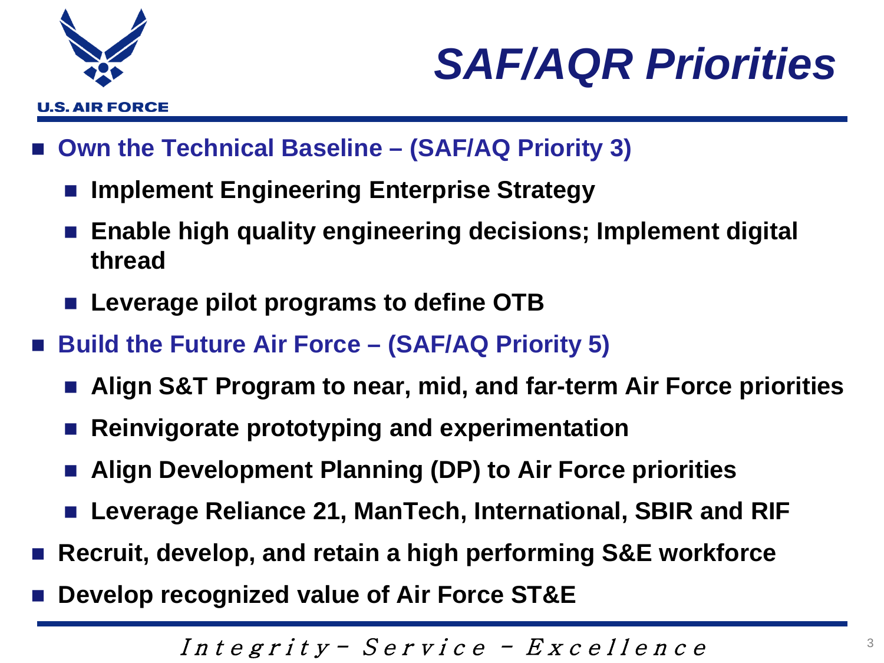

### *SAF/AQR Priorities*

- **Own the Technical Baseline – (SAF/AQ Priority 3)**
	- **Implement Engineering Enterprise Strategy**
	- **Enable high quality engineering decisions; Implement digital thread**
	- Leverage pilot programs to define OTB
- **Build the Future Air Force – (SAF/AQ Priority 5)**
	- **Align S&T Program to near, mid, and far-term Air Force priorities**
	- **Reinvigorate prototyping and experimentation**
	- **Align Development Planning (DP) to Air Force priorities**
	- Leverage Reliance 21, ManTech, International, SBIR and RIF
- **Recruit, develop, and retain a high performing S&E workforce**
- **Develop recognized value of Air Force ST&E**

Integrity -  $S$ ervice -  $Ex$ cellence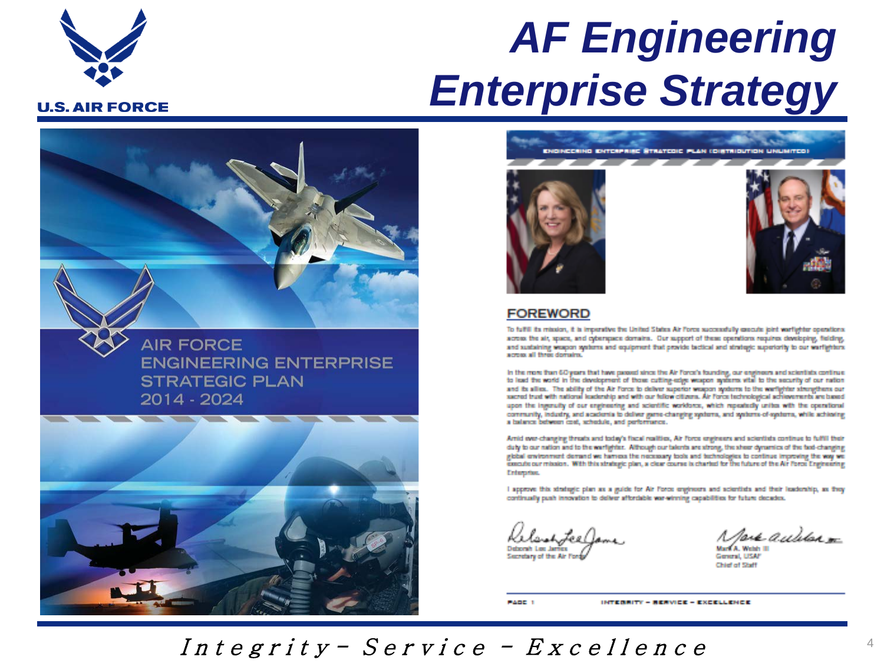

### *AF Engineering Enterprise Strategy*

**AIR FORCE ENGINEERING ENTERPRISE STRATEGIC PLAN** 2014 - 2024





#### **FOREWORD**

To fulfill its mission, it is imperative the United States Air Force successfully cascute joint warflighter operations. scress the sit, space, and orberspace domains. Our support of these operations requires developing, fielding, and sustaining weapon systems and equipment that provide tactical and strategic superiority to our warfighters. scress all three domains.

In the more than 60 years that have passed since the Air Force's founding, our engineers and scientists continue to lead the world in the development of those cutting-stige weapon systems wite to the security of our nation and its allies. The ability of the Air Force to deliver superior weapon systems to the worlighter strengthens our sacred trust with national leadership and with our tellow citizens. Air Force technological achievements are based upon the ingenuity of our engineering and acientific worklores, which repeatedly unites with the operational community, industry, and academia to deliver game-changing systems, and systems, of systems, while achieving a balance between cost, schedule, and performance.

Arrid ever-changing threats and today's fiscal realities, Air Force engineers and scientists continue to fulfill their duty to our nation and to the warfighter. Although our talents are strong, the sheer dynamics of the fast-changing global environment demand we harriess the necessary tools and technologies to continue improving the way we execute our mission. With this strategic plan, a clear course is charted for the future of the Air Force Engineering Enterprise.

I approve this strategic plan as a guide for Air Force engineers and scientists and their leadership, as they continually push innovation to deliver afterdable war-winning capabilities for future decades.

Deborah Lee James Secretary of the Air Fords

pur auditor <del>sa</del>

**Mark A. Welsh III** General, USAF Chief of Staff

PADE 1

INTERNITY - RENVICE - EXCELLENCE

Integrity - Service - Excellence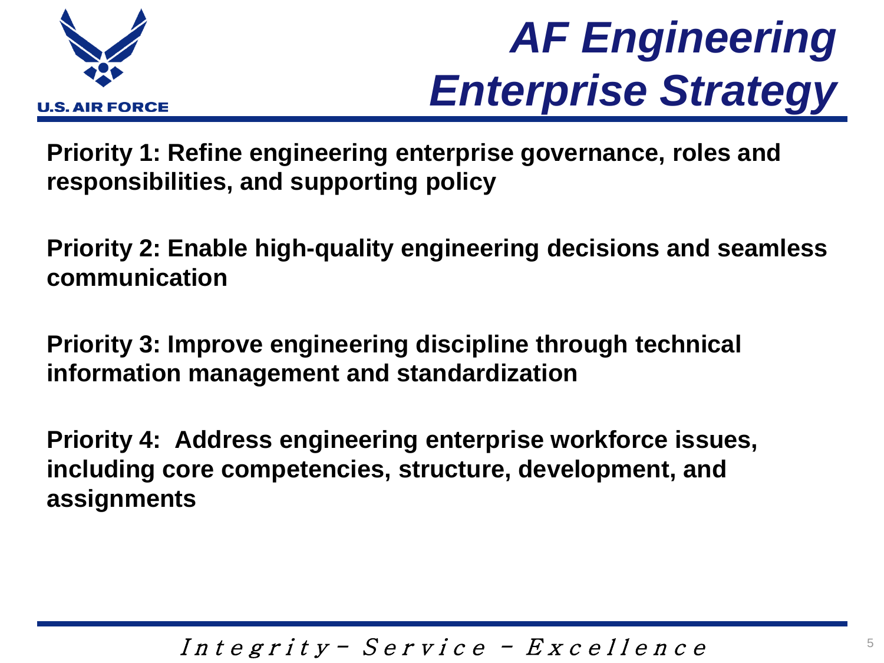

### *AF Engineering Enterprise Strategy*

**Priority 1: Refine engineering enterprise governance, roles and responsibilities, and supporting policy**

**Priority 2: Enable high-quality engineering decisions and seamless communication**

**Priority 3: Improve engineering discipline through technical information management and standardization**

**Priority 4: Address engineering enterprise workforce issues, including core competencies, structure, development, and assignments**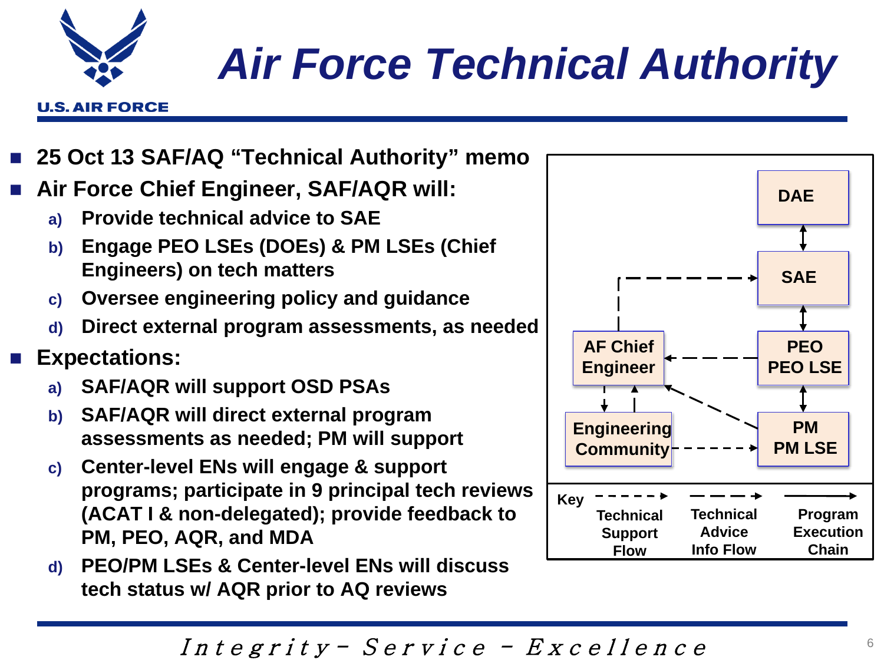# *Air Force Technical Authority*

- **25 Oct 13 SAF/AQ "Technical Authority" memo**
- **Air Force Chief Engineer, SAF/AQR will:**
	- **a) Provide technical advice to SAE**
	- **b) Engage PEO LSEs (DOEs) & PM LSEs (Chief Engineers) on tech matters**
	- **c) Oversee engineering policy and guidance**
	- **d) Direct external program assessments, as needed**
- **Expectations:**
	- **a) SAF/AQR will support OSD PSAs**
	- **b) SAF/AQR will direct external program assessments as needed; PM will support**
	- **c) Center-level ENs will engage & support programs; participate in 9 principal tech reviews (ACAT I & non-delegated); provide feedback to PM, PEO, AQR, and MDA**
	- **d) PEO/PM LSEs & Center-level ENs will discuss tech status w/ AQR prior to AQ reviews**





**U.S. AIR FORCE**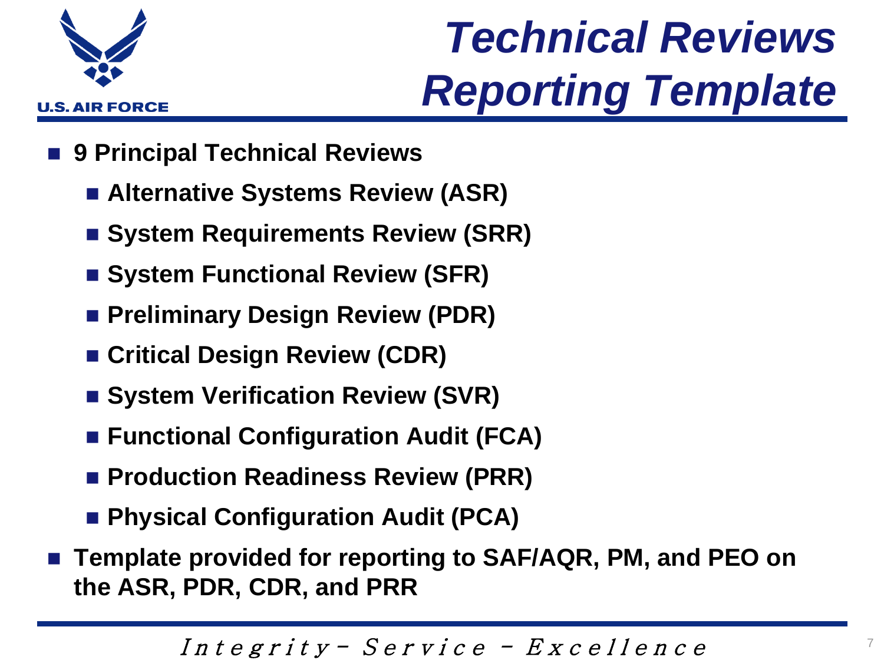

## *Technical Reviews Reporting Template*

- **9 Principal Technical Reviews**
	- **Alternative Systems Review (ASR)**
	- System Requirements Review (SRR)
	- **System Functional Review (SFR)**
	- **Preliminary Design Review (PDR)**
	- **Critical Design Review (CDR)**
	- System Verification Review (SVR)
	- Functional Configuration Audit (FCA)
	- **Production Readiness Review (PRR)**
	- **Physical Configuration Audit (PCA)**
- **Template provided for reporting to SAF/AQR, PM, and PEO on the ASR, PDR, CDR, and PRR**